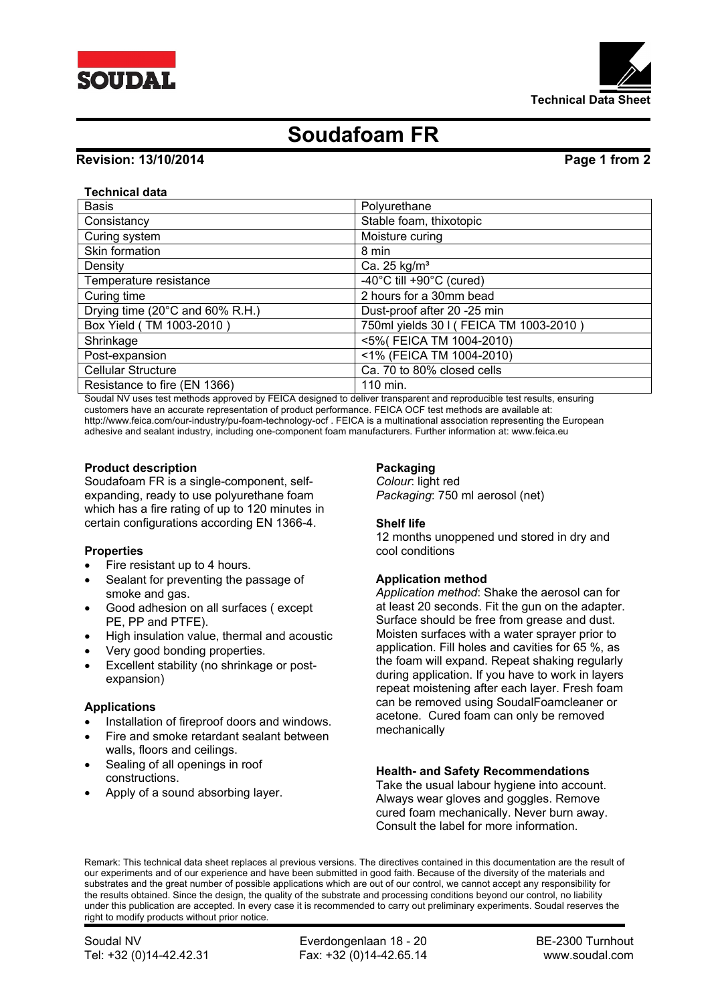



# **Soudafoam FR**

# **Revision: 13/10/2014 Page 1 from 2**

## **Technical data**

| <b>Basis</b>                    | Polyurethane                                   |
|---------------------------------|------------------------------------------------|
| Consistancy                     | Stable foam, thixotopic                        |
| Curing system                   | Moisture curing                                |
| Skin formation                  | 8 min                                          |
| Density                         | Ca. 25 $kg/m3$                                 |
| Temperature resistance          | -40 $^{\circ}$ C till +90 $^{\circ}$ C (cured) |
| Curing time                     | 2 hours for a 30mm bead                        |
| Drying time (20°C and 60% R.H.) | Dust-proof after 20 -25 min                    |
| Box Yield (TM 1003-2010)        | 750ml yields 30 I (FEICA TM 1003-2010)         |
| Shrinkage                       | <5%(FEICA TM 1004-2010)                        |
| Post-expansion                  | <1% (FEICA TM 1004-2010)                       |
| <b>Cellular Structure</b>       | Ca. 70 to 80% closed cells                     |
| Resistance to fire (EN 1366)    | 110 min.                                       |

Soudal NV uses test methods approved by FEICA designed to deliver transparent and reproducible test results, ensuring customers have an accurate representation of product performance. FEICA OCF test methods are available at: http://www.feica.com/our-industry/pu-foam-technology-ocf . FEICA is a multinational association representing the European adhesive and sealant industry, including one-component foam manufacturers. Further information at: www.feica.eu

#### **Product description**

Soudafoam FR is a single-component, selfexpanding, ready to use polyurethane foam which has a fire rating of up to 120 minutes in certain configurations according EN 1366-4.

#### **Properties**

- Fire resistant up to 4 hours.
- Sealant for preventing the passage of smoke and gas.
- Good adhesion on all surfaces ( except PE, PP and PTFE).
- High insulation value, thermal and acoustic
- Very good bonding properties.
- Excellent stability (no shrinkage or postexpansion)

#### **Applications**

- Installation of fireproof doors and windows.
- Fire and smoke retardant sealant between walls, floors and ceilings.
- Sealing of all openings in roof constructions.
- Apply of a sound absorbing layer.

# **Packaging**

*Colour*: light red *Packaging*: 750 ml aerosol (net)

## **Shelf life**

12 months unoppened und stored in dry and cool conditions

## **Application method**

*Application method*: Shake the aerosol can for at least 20 seconds. Fit the gun on the adapter. Surface should be free from grease and dust. Moisten surfaces with a water sprayer prior to application. Fill holes and cavities for 65 %, as the foam will expand. Repeat shaking regularly during application. If you have to work in layers repeat moistening after each layer. Fresh foam can be removed using SoudalFoamcleaner or acetone. Cured foam can only be removed mechanically

## **Health- and Safety Recommendations**

Take the usual labour hygiene into account. Always wear gloves and goggles. Remove cured foam mechanically. Never burn away. Consult the label for more information.

Remark: This technical data sheet replaces al previous versions. The directives contained in this documentation are the result of our experiments and of our experience and have been submitted in good faith. Because of the diversity of the materials and substrates and the great number of possible applications which are out of our control, we cannot accept any responsibility for the results obtained. Since the design, the quality of the substrate and processing conditions beyond our control, no liability under this publication are accepted. In every case it is recommended to carry out preliminary experiments. Soudal reserves the right to modify products without prior notice.